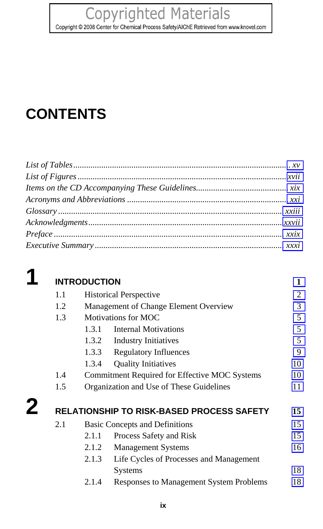## **Copyrighted Materials**

<span id="page-0-6"></span><span id="page-0-4"></span><span id="page-0-3"></span><span id="page-0-0"></span>Copyright © 2008 Center for Chemical Process Safety/AIChE Retrieved from www.knovel.com

# **CONTENTS**

2

<span id="page-0-1"></span>

#### <span id="page-0-5"></span><span id="page-0-2"></span>**INTRODUCTION**  $1.1$ **Historical Perspective** 1.2 Management of Change Element Overview  $1.3$ **Motivations for MOC**  $1.3.1$ **Internal Motivations**  $1.3.2$ **Industry Initiatives**  $1.3.3$ Regulatory Influences 1.3.4 **Quality Initiatives** 10 1.4 Commitment Required for Effective MOC Systems 10  $1.5$ Organization and Use of These Guidelines 11 RELATIONSHIP TO RISK-BASED PROCESS SAFETY 15  $2.1$ **Basic Concepts and Definitions** 15  $2.1.1$ Process Safety and Risk 15  $2.1.2$ **Management Systems** 16  $2.1.3$ Life Cycles of Processes and Management Systems 18  $2.1.4$ Responses to Management System Problems 18

 $\mathbf{1}$  $\overline{2}$ 

 $\overline{3}$ 

5

5 5

 $\mathbf{Q}$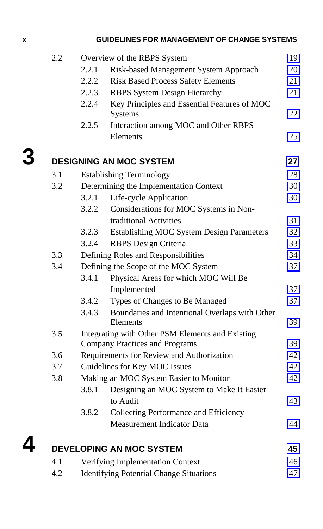## <span id="page-1-4"></span><span id="page-1-2"></span>**x GUIDELINES FOR MANAGEMENT OF CHANGE SYSTE[MS](#page-0-3)**

<span id="page-1-3"></span><span id="page-1-1"></span><span id="page-1-0"></span>

| 2.2 |                               | 19                                                         |                                                                                                                                                                                                                                                                                                                                                                                                                                                                                                                                                                                                                                             |
|-----|-------------------------------|------------------------------------------------------------|---------------------------------------------------------------------------------------------------------------------------------------------------------------------------------------------------------------------------------------------------------------------------------------------------------------------------------------------------------------------------------------------------------------------------------------------------------------------------------------------------------------------------------------------------------------------------------------------------------------------------------------------|
|     | 2.2.1                         | Risk-based Management System Approach                      | 20                                                                                                                                                                                                                                                                                                                                                                                                                                                                                                                                                                                                                                          |
|     | 2.2.2                         | <b>Risk Based Process Safety Elements</b>                  | 21                                                                                                                                                                                                                                                                                                                                                                                                                                                                                                                                                                                                                                          |
|     | 2.2.3                         | <b>RBPS System Design Hierarchy</b>                        | 21                                                                                                                                                                                                                                                                                                                                                                                                                                                                                                                                                                                                                                          |
|     | 2.2.4                         | Key Principles and Essential Features of MOC<br>Systems    | 22                                                                                                                                                                                                                                                                                                                                                                                                                                                                                                                                                                                                                                          |
|     | 2.2.5                         | Interaction among MOC and Other RBPS                       |                                                                                                                                                                                                                                                                                                                                                                                                                                                                                                                                                                                                                                             |
|     |                               | Elements                                                   | 25                                                                                                                                                                                                                                                                                                                                                                                                                                                                                                                                                                                                                                          |
|     |                               |                                                            | 27                                                                                                                                                                                                                                                                                                                                                                                                                                                                                                                                                                                                                                          |
|     |                               |                                                            | 28                                                                                                                                                                                                                                                                                                                                                                                                                                                                                                                                                                                                                                          |
| 3.2 |                               |                                                            | 30                                                                                                                                                                                                                                                                                                                                                                                                                                                                                                                                                                                                                                          |
|     | 3.2.1                         |                                                            | 30                                                                                                                                                                                                                                                                                                                                                                                                                                                                                                                                                                                                                                          |
|     | 3.2.2                         |                                                            |                                                                                                                                                                                                                                                                                                                                                                                                                                                                                                                                                                                                                                             |
|     |                               | traditional Activities                                     | 31                                                                                                                                                                                                                                                                                                                                                                                                                                                                                                                                                                                                                                          |
|     | 3.2.3                         |                                                            | 32                                                                                                                                                                                                                                                                                                                                                                                                                                                                                                                                                                                                                                          |
|     | 3.2.4                         |                                                            | 33                                                                                                                                                                                                                                                                                                                                                                                                                                                                                                                                                                                                                                          |
| 3.3 |                               |                                                            | 34                                                                                                                                                                                                                                                                                                                                                                                                                                                                                                                                                                                                                                          |
| 3.4 |                               |                                                            | 37                                                                                                                                                                                                                                                                                                                                                                                                                                                                                                                                                                                                                                          |
|     | 3.4.1                         | Physical Areas for which MOC Will Be                       |                                                                                                                                                                                                                                                                                                                                                                                                                                                                                                                                                                                                                                             |
|     |                               | Implemented                                                | 37                                                                                                                                                                                                                                                                                                                                                                                                                                                                                                                                                                                                                                          |
|     | 3.4.2                         | Types of Changes to Be Managed                             | 37                                                                                                                                                                                                                                                                                                                                                                                                                                                                                                                                                                                                                                          |
|     | 3.4.3                         | Boundaries and Intentional Overlaps with Other<br>Elements | 39                                                                                                                                                                                                                                                                                                                                                                                                                                                                                                                                                                                                                                          |
| 3.5 |                               |                                                            |                                                                                                                                                                                                                                                                                                                                                                                                                                                                                                                                                                                                                                             |
|     |                               |                                                            | 39                                                                                                                                                                                                                                                                                                                                                                                                                                                                                                                                                                                                                                          |
| 3.6 |                               |                                                            | 42                                                                                                                                                                                                                                                                                                                                                                                                                                                                                                                                                                                                                                          |
| 3.7 | Guidelines for Key MOC Issues |                                                            | 42                                                                                                                                                                                                                                                                                                                                                                                                                                                                                                                                                                                                                                          |
| 3.8 |                               |                                                            |                                                                                                                                                                                                                                                                                                                                                                                                                                                                                                                                                                                                                                             |
|     | 3.8.1                         | Designing an MOC System to Make It Easier                  |                                                                                                                                                                                                                                                                                                                                                                                                                                                                                                                                                                                                                                             |
|     |                               | to Audit                                                   | 43                                                                                                                                                                                                                                                                                                                                                                                                                                                                                                                                                                                                                                          |
|     | 3.8.2                         | <b>Collecting Performance and Efficiency</b>               |                                                                                                                                                                                                                                                                                                                                                                                                                                                                                                                                                                                                                                             |
|     |                               | <b>Measurement Indicator Data</b>                          | 44                                                                                                                                                                                                                                                                                                                                                                                                                                                                                                                                                                                                                                          |
|     |                               |                                                            | 45                                                                                                                                                                                                                                                                                                                                                                                                                                                                                                                                                                                                                                          |
| 4.1 |                               |                                                            | 46                                                                                                                                                                                                                                                                                                                                                                                                                                                                                                                                                                                                                                          |
|     | 3.1                           |                                                            | Overview of the RBPS System<br><b>DESIGNING AN MOC SYSTEM</b><br><b>Establishing Terminology</b><br>Determining the Implementation Context<br>Life-cycle Application<br>Considerations for MOC Systems in Non-<br><b>Establishing MOC System Design Parameters</b><br><b>RBPS</b> Design Criteria<br>Defining Roles and Responsibilities<br>Defining the Scope of the MOC System<br>Integrating with Other PSM Elements and Existing<br><b>Company Practices and Programs</b><br>Requirements for Review and Authorization<br>Making an MOC System Easier to Monitor<br><b>DEVELOPING AN MOC SYSTEM</b><br>Verifying Implementation Context |

4.2 Identifying Potential Change Situations 47

| I |  |  |
|---|--|--|
|   |  |  |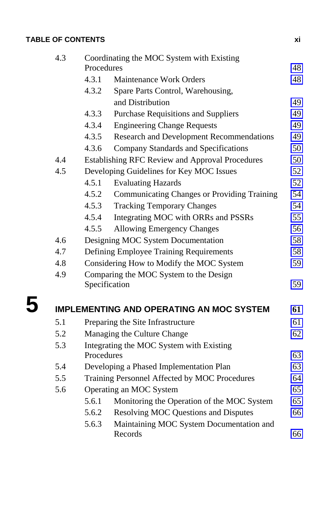<span id="page-2-1"></span>

| <b>TABLE OF CONTENTS</b> |  |
|--------------------------|--|
|                          |  |

<span id="page-2-3"></span><span id="page-2-2"></span><span id="page-2-0"></span>

| 4.3 | Coordinating the MOC System with Existing<br>Procedures |                                                        |          |
|-----|---------------------------------------------------------|--------------------------------------------------------|----------|
|     | 4.3.1                                                   | <b>Maintenance Work Orders</b>                         | 48<br>48 |
|     | 4.3.2                                                   | Spare Parts Control, Warehousing,                      |          |
|     |                                                         | and Distribution                                       | 49       |
|     | 4.3.3                                                   | <b>Purchase Requisitions and Suppliers</b>             | 49       |
|     | 4.3.4                                                   | <b>Engineering Change Requests</b>                     | 49       |
|     | 4.3.5                                                   | <b>Research and Development Recommendations</b>        | 49       |
|     | 4.3.6                                                   | Company Standards and Specifications                   | 50       |
| 4.4 |                                                         | <b>Establishing RFC Review and Approval Procedures</b> | 50       |
| 4.5 |                                                         | Developing Guidelines for Key MOC Issues               | 52       |
|     | 4.5.1                                                   | <b>Evaluating Hazards</b>                              | 52       |
|     | 4.5.2                                                   | <b>Communicating Changes or Providing Training</b>     | 54       |
|     | 4.5.3                                                   | <b>Tracking Temporary Changes</b>                      | 54       |
|     | 4.5.4                                                   | Integrating MOC with ORRs and PSSRs                    | 55       |
|     | 4.5.5                                                   | <b>Allowing Emergency Changes</b>                      | 56       |
| 4.6 |                                                         | Designing MOC System Documentation                     | 58       |
| 4.7 |                                                         | Defining Employee Training Requirements                | 58       |
| 4.8 |                                                         | Considering How to Modify the MOC System               | 59       |
| 4.9 |                                                         | Comparing the MOC System to the Design                 |          |
|     | Specification                                           |                                                        | 59       |
|     |                                                         | <b>IMPLEMENTING AND OPERATING AN MOC SYSTEM</b>        | 61       |
| 5.1 |                                                         | Preparing the Site Infrastructure                      | 61       |
| 5.2 |                                                         | Managing the Culture Change                            |          |
| 5.3 | Integrating the MOC System with Existing                |                                                        |          |
|     | Procedures                                              |                                                        | 63       |
| 5.4 |                                                         | Developing a Phased Implementation Plan                | 63       |
| 5.5 |                                                         | Training Personnel Affected by MOC Procedures          | 64       |
| 5.6 |                                                         | Operating an MOC System                                | 65       |
|     | 5.6.1                                                   | Monitoring the Operation of the MOC System             | 65       |
|     | 5.6.2                                                   | <b>Resolving MOC Questions and Disputes</b>            | 66       |
|     | 5.6.3                                                   | Maintaining MOC System Documentation and<br>Records    | 66       |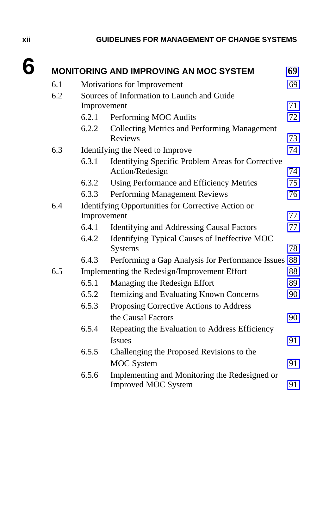### <span id="page-3-4"></span><span id="page-3-3"></span><span id="page-3-2"></span><span id="page-3-0"></span>**xii GUIDELINES FOR MANAGEMENT OF CHANGE SYSTE[MS](#page-5-3)**

<span id="page-3-1"></span>

| 6.1 |       | Motivations for Improvement                                                 | 69 |
|-----|-------|-----------------------------------------------------------------------------|----|
| 6.2 |       | Sources of Information to Launch and Guide                                  |    |
|     |       | Improvement                                                                 | 71 |
|     | 6.2.1 | Performing MOC Audits                                                       | 72 |
|     | 6.2.2 | Collecting Metrics and Performing Management                                |    |
|     |       | <b>Reviews</b>                                                              | 73 |
| 6.3 |       | Identifying the Need to Improve                                             | 74 |
|     | 6.3.1 | Identifying Specific Problem Areas for Corrective<br>Action/Redesign        | 74 |
|     | 6.3.2 | Using Performance and Efficiency Metrics                                    | 75 |
|     | 6.3.3 | Performing Management Reviews                                               | 76 |
| 6.4 |       | Identifying Opportunities for Corrective Action or                          |    |
|     |       | Improvement                                                                 | 77 |
|     | 6.4.1 | <b>Identifying and Addressing Causal Factors</b>                            | 77 |
|     | 6.4.2 | Identifying Typical Causes of Ineffective MOC<br><b>Systems</b>             | 78 |
|     | 6.4.3 | Performing a Gap Analysis for Performance Issues                            | 88 |
| 6.5 |       | Implementing the Redesign/Improvement Effort                                | 88 |
|     | 6.5.1 | Managing the Redesign Effort                                                | 89 |
|     | 6.5.2 | Itemizing and Evaluating Known Concerns                                     | 90 |
|     | 6.5.3 | Proposing Corrective Actions to Address                                     |    |
|     |       | the Causal Factors                                                          | 90 |
|     | 6.5.4 | Repeating the Evaluation to Address Efficiency                              |    |
|     |       | <b>Issues</b>                                                               | 91 |
|     | 6.5.5 | Challenging the Proposed Revisions to the                                   |    |
|     |       | <b>MOC</b> System                                                           | 91 |
|     | 6.5.6 | Implementing and Monitoring the Redesigned or<br><b>Improved MOC System</b> | 91 |